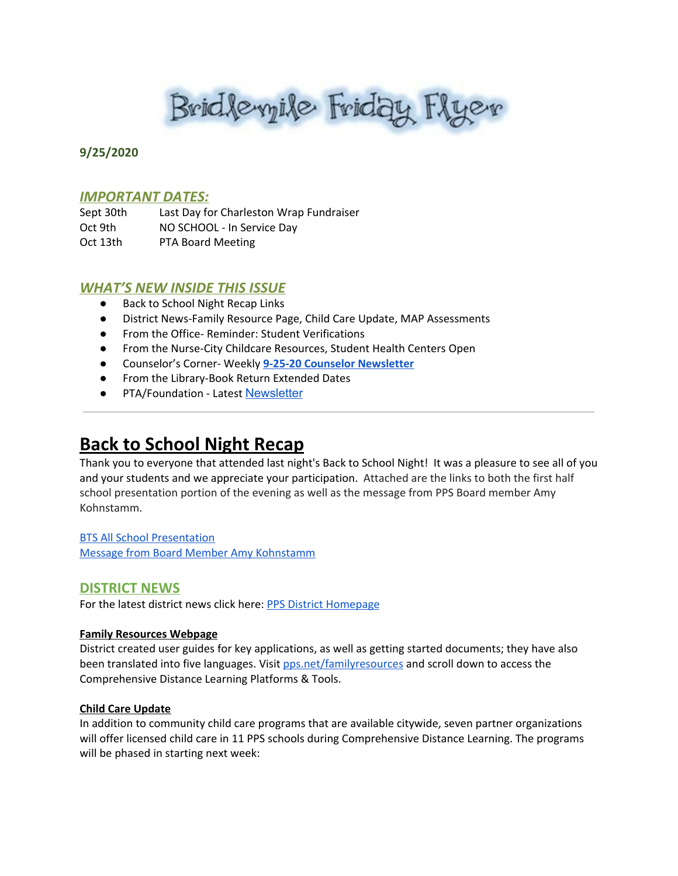Bridlevyile Friday Flyer

## **9/25/2020**

## *IMPORTANT DATES:*

Sept 30th Last Day for Charleston Wrap Fundraiser Oct 9th NO SCHOOL - In Service Day Oct 13th PTA Board Meeting

# *WHAT'S NEW INSIDE THIS ISSUE*

- Back to School Night Recap Links
- District News-Family Resource Page, Child Care Update, MAP Assessments
- From the Office- Reminder: Student Verifications
- From the Nurse-City Childcare Resources, Student Health Centers Open
- Counselor's Corner- Weekly **9-25-20 Counselor [Newsletter](https://docs.google.com/document/d/1n5IQLQqVRRIBiQJTjKWJrPkiyABXjr0FdD3bxasB1ko/edit?usp=sharing)**
- From the Library-Book Return Extended Dates
- PTA/Foundation Latest [Newsletter](https://docs.google.com/document/d/e/2PACX-1vQlZCPHtKxqO7qpJwiwgoeaZ1ERHVLgg6z0JNYJMTulwn7xlOVY_X2I1ZV9nntsGHP57LEZ_uSufaFj/pub)

# **Back to School Night Recap**

Thank you to everyone that attended last night's Back to School Night! It was a pleasure to see all of you and your students and we appreciate your participation. Attached are the links to both the first half school presentation portion of the evening as well as the message from PPS Board member Amy Kohnstamm.

BTS All School [Presentation](https://pps-net.zoom.us/rec/share/edBHZk4waNjIKILLrWQkSK6cqnk_y95ZHJO8MxeVmXruUKnN419pxVybz3J_cEs.QgXdBM5shFwRStvg?startTime=1600994235000) Message from Board Member Amy [Kohnstamm](https://drive.google.com/file/d/1xX5gwKqroW6pn-xLMjlsYuxFABPbXXAT/view?ts=5f6d5428)

# **DISTRICT NEWS**

For the latest district news click here: PPS District [Homepage](https://www.pps.net/portland)

## **Family Resources Webpage**

District created user guides for key applications, as well as getting started documents; they have also been translated into five languages. Visit [pps.net/familyresources](http://pps.net/familyresources) and scroll down to access the Comprehensive Distance Learning Platforms & Tools.

## **Child Care Update**

In addition to community child care programs that are available citywide, seven partner organizations will offer licensed child care in 11 PPS schools during Comprehensive Distance Learning. The programs will be phased in starting next week: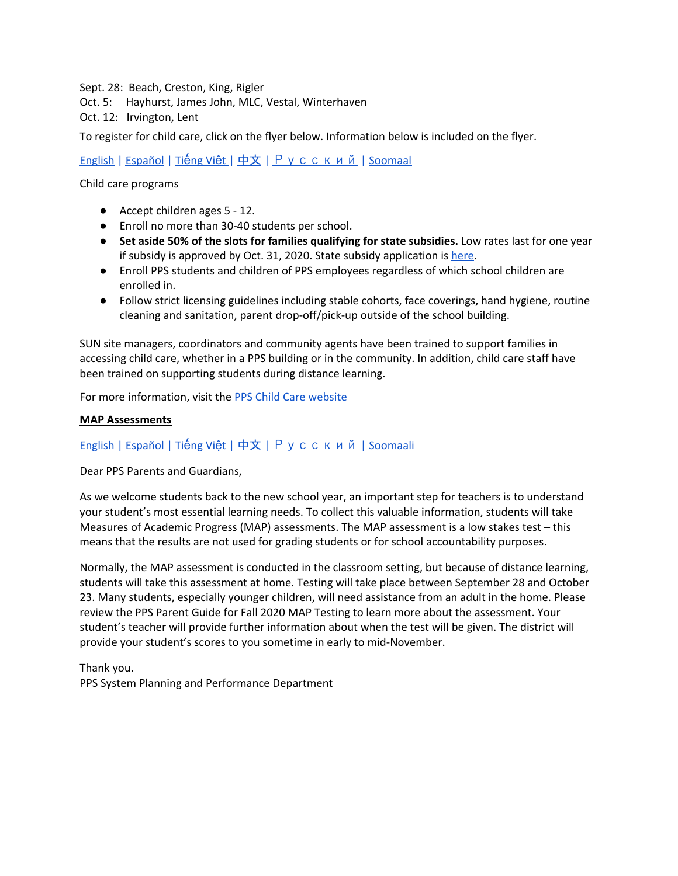Sept. 28: Beach, Creston, King, Rigler Oct. 5: Hayhurst, James John, MLC, Vestal, Winterhaven Oct. 12: Irvington, Lent

To register for child care, click on the flyer below. Information below is included on the flyer.

[English](https://docs.google.com/viewerng/viewer?url=https://www.pps.net//cms/lib/OR01913224/Centricity/Domain/184/ChildCareDuringComprehensive+Learning.pdf) | [Español](https://www.pps.net/cms/lib/OR01913224/Centricity/Domain/184/Child_Care_Flier-09.09.20-Spanish.pdf) | Tiế[ng](https://www.pps.net/cms/lib/OR01913224/Centricity/Domain/184/Child_Care_Flier-09.09.20-Vietnamese.pdf) Việ[t](https://drive.google.com/file/d/1huoSwkF5C2pkJZNHZFhgagK_iR9iPuLR/view?usp=sharing) | [中文](https://www.pps.net/cms/lib/OR01913224/Centricity/Domain/184/Child_Care_Flier-09.09.20-Chinese.pdf) | [Русский](https://www.pps.net/cms/lib/OR01913224/Centricity/Domain/184/Child_Care_Flier-09.09.20-Russian.pdf) | [Soomaal](https://www.pps.net/cms/lib/OR01913224/Centricity/Domain/184/Child_Care_Flier-09.09.20-Somali.pdf)

Child care programs

- Accept children ages 5 12.
- Enroll no more than 30-40 students per school.
- **Set aside 50% of the slots for families qualifying for state subsidies.** Low rates last for one year if subsidy is approved by Oct. 31, 2020. State subsidy application is [here](https://sharedsystems.dhsoha.state.or.us/DHSForms/Served/de7476.pdf).
- Enroll PPS students and children of PPS employees regardless of which school children are enrolled in.
- Follow strict licensing guidelines including stable cohorts, face coverings, hand hygiene, routine cleaning and sanitation, parent drop-off/pick-up outside of the school building.

SUN site managers, coordinators and community agents have been trained to support families in accessing child care, whether in a PPS building or in the community. In addition, child care staff have been trained on supporting students during distance learning.

For more information, visit the PPS Child Care [website](https://www.pps.net/Domain/184)

#### **MAP Assessments**

# [English](http://track.spe.schoolmessenger.com/f/a/4mVQpZ-aRjAhB6F5eKSK8A~~/AAAAAQA~/RgRhTQByP0ReaHR0cHM6Ly93d3cucHBzLm5ldC9jbXMvbGliL09SMDE5MTMyMjQvQ2VudHJpY2l0eS9Eb21haW4vNC9NQVAtZW1haWwtU2VwdGVtYmVyMjAyMC1FbmdsaXNoLnBkZlcHc2Nob29sbUIKAEbyzGtf2Dtj61IQZGJ1cmxpbmdAcHBzLm5ldFgEAAAAAQ~~) | [Español](http://track.spe.schoolmessenger.com/f/a/4as1BeMKd_JgcAy-LfMiZQ~~/AAAAAQA~/RgRhTQByP0ReaHR0cHM6Ly93d3cucHBzLm5ldC9jbXMvbGliL09SMDE5MTMyMjQvQ2VudHJpY2l0eS9Eb21haW4vNC9NQVAtZW1haWwtU2VwdGVtYmVyMjAyMC1TcGFuaXNoLnBkZlcHc2Nob29sbUIKAEbyzGtf2Dtj61IQZGJ1cmxpbmdAcHBzLm5ldFgEAAAAAQ~~) | Tiế[ng](http://track.spe.schoolmessenger.com/f/a/86TpO8HA04M-Wk7hblOIcA~~/AAAAAQA~/RgRhTQByP0RhaHR0cHM6Ly93d3cucHBzLm5ldC9jbXMvbGliL09SMDE5MTMyMjQvQ2VudHJpY2l0eS9Eb21haW4vNC9NQVAtZW1haWwtU2VwdGVtYmVyMjAyMC1WaWV0bmFtZXNlLnBkZlcHc2Nob29sbUIKAEbyzGtf2Dtj61IQZGJ1cmxpbmdAcHBzLm5ldFgEAAAAAQ~~) Việt | [中文](http://track.spe.schoolmessenger.com/f/a/IL778Ygd8yOdl3Jtnq2AMA~~/AAAAAQA~/RgRhTQByP0ReaHR0cHM6Ly93d3cucHBzLm5ldC9jbXMvbGliL09SMDE5MTMyMjQvQ2VudHJpY2l0eS9Eb21haW4vNC9NQVAtZW1haWwtU2VwdGVtYmVyMjAyMC1DaGluZXNlLnBkZlcHc2Nob29sbUIKAEbyzGtf2Dtj61IQZGJ1cmxpbmdAcHBzLm5ldFgEAAAAAQ~~) | [Русский](http://track.spe.schoolmessenger.com/f/a/2nVn4dzGiZFjyvlXREoDtQ~~/AAAAAQA~/RgRhTQByP0ReaHR0cHM6Ly93d3cucHBzLm5ldC9jbXMvbGliL09SMDE5MTMyMjQvQ2VudHJpY2l0eS9Eb21haW4vNC9NQVAtZW1haWwtU2VwdGVtYmVyMjAyMC1SdXNzaWFuLnBkZlcHc2Nob29sbUIKAEbyzGtf2Dtj61IQZGJ1cmxpbmdAcHBzLm5ldFgEAAAAAQ~~) | [Soomaali](http://track.spe.schoolmessenger.com/f/a/-nDUoOEzjZU1G8ZDDToyyw~~/AAAAAQA~/RgRhTQByP0RdaHR0cHM6Ly93d3cucHBzLm5ldC9jbXMvbGliL09SMDE5MTMyMjQvQ2VudHJpY2l0eS9Eb21haW4vNC9NQVAtZW1haWwtU2VwdGVtYmVyMjAyMC1Tb21hbGkucGRmVwdzY2hvb2xtQgoARvLMa1_YO2PrUhBkYnVybGluZ0BwcHMubmV0WAQAAAAB)

Dear PPS Parents and Guardians,

As we welcome students back to the new school year, an important step for teachers is to understand your student's most essential learning needs. To collect this valuable information, students will take Measures of Academic Progress (MAP) assessments. The MAP assessment is a low stakes test – this means that the results are not used for grading students or for school accountability purposes.

Normally, the MAP assessment is conducted in the classroom setting, but because of distance learning, students will take this assessment at home. Testing will take place between September 28 and October 23. Many students, especially younger children, will need assistance from an adult in the home. Please review the PPS Parent Guide for Fall 2020 MAP [Testing](http://track.spe.schoolmessenger.com/f/a/-ljtjun0KmckEc5Rn9pY5A~~/AAAAAQA~/RgRhTQByP0RhaHR0cHM6Ly93d3cucHBzLm5ldC9jbXMvbGliL09SMDE5MTMyMjQvQ2VudHJpY2l0eS9Eb21haW4vNC9GYWxsXzIwMjBfTUFQX1BhcmVudF9HdWlkZS1FbmdsaXNoLnBkZlcHc2Nob29sbUIKAEbyzGtf2Dtj61IQZGJ1cmxpbmdAcHBzLm5ldFgEAAAAAQ~~) to learn more about the assessment. Your student's teacher will provide further information about when the test will be given. The district will provide your student's scores to you sometime in early to mid-November.

Thank you. PPS System Planning and Performance Department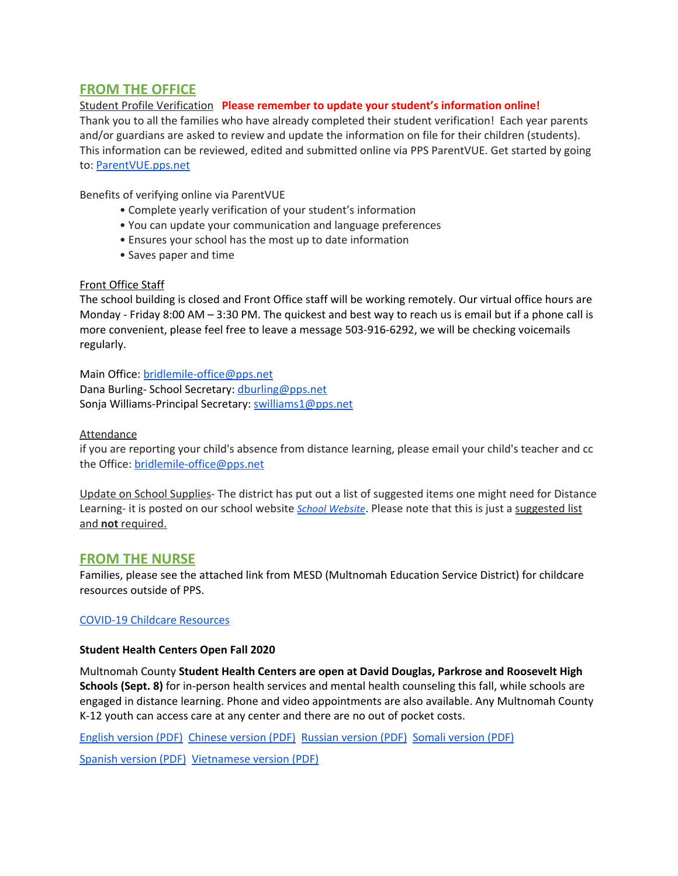# **FROM THE OFFICE**

## Student Profile Verification **Please remember to update your student's information online!**

Thank you to all the families who have already completed their student verification! Each year parents and/or guardians are asked to review and update the information on file for their children (students). This information can be reviewed, edited and submitted online via PPS ParentVUE. Get started by going to: [ParentVUE.pps.net](https://www.pps.net/Page/2341)

Benefits of verifying online via ParentVUE

- Complete yearly verification of your student's information
- You can update your communication and language preferences
- Ensures your school has the most up to date information
- Saves paper and time

#### Front Office Staff

The school building is closed and Front Office staff will be working remotely. Our virtual office hours are Monday - Friday 8:00 AM – 3:30 PM. The quickest and best way to reach us is email but if a phone call is more convenient, please feel free to leave a message 503-916-6292, we will be checking voicemails regularly.

Main Office: [bridlemile-office@pps.net](mailto:bridlemile-office@pps.net) Dana Burling- School Secretary: [dburling@pps.net](mailto:dburling@pps.net) Sonja Williams-Principal Secretary: [swilliams1@pps.net](mailto:swilliams1@pps.net)

#### Attendance

if you are reporting your child's absence from distance learning, please email your child's teacher and cc the Office: [bridlemile-office@pps.net](mailto:bridlemile-office@pps.net)

Update on School Supplies- The district has put out a list of suggested items one might need for Distance Learning- it is posted on our school website *School [Website](http://www.pps.k12.or.us/schools/bridlemile/)*. Please note that this is just a suggested list and **not** required.

## **FROM THE NURSE**

Families, please see the attached link from MESD (Multnomah Education Service District) for childcare resources outside of PPS.

#### COVID-19 Childcare [Resources](https://www.multnomahesd.org/covid-child-care.html)

#### **Student Health Centers Open Fall 2020**

Multnomah County **Student Health Centers are open at David Douglas, Parkrose and Roosevelt High Schools (Sept. 8)** for in-person health services and mental health counseling this fall, while schools are engaged in distance learning. Phone and video appointments are also available. Any Multnomah County K-12 youth can access care at any center and there are no out of pocket costs.

English [version](https://www.multnomahesd.org/uploads/1/2/0/2/120251715/shc_open_consolidated_fall_2020.pdf) (PDF) [Chinese](https://www.multnomahesd.org/uploads/1/2/0/2/120251715/shc_consolidated_chinese_open_fall_2020.pdf) version (PDF) [Russian](https://www.multnomahesd.org/uploads/1/2/0/2/120251715/shc_consolidated_russian_open_fall_2020.pdf) version (PDF) Somali [version](https://www.multnomahesd.org/uploads/1/2/0/2/120251715/shc_consolidated_somali_open_fall_2020.pdf) (PDF)

[Spanish](https://www.multnomahesd.org/uploads/1/2/0/2/120251715/shc_consolidated_spanish_open_fall_2020.pdf) version (PDF) [Vietnamese](https://www.multnomahesd.org/uploads/1/2/0/2/120251715/shc_consolidated_vietnamese_open_fall_2020.pdf) version (PDF)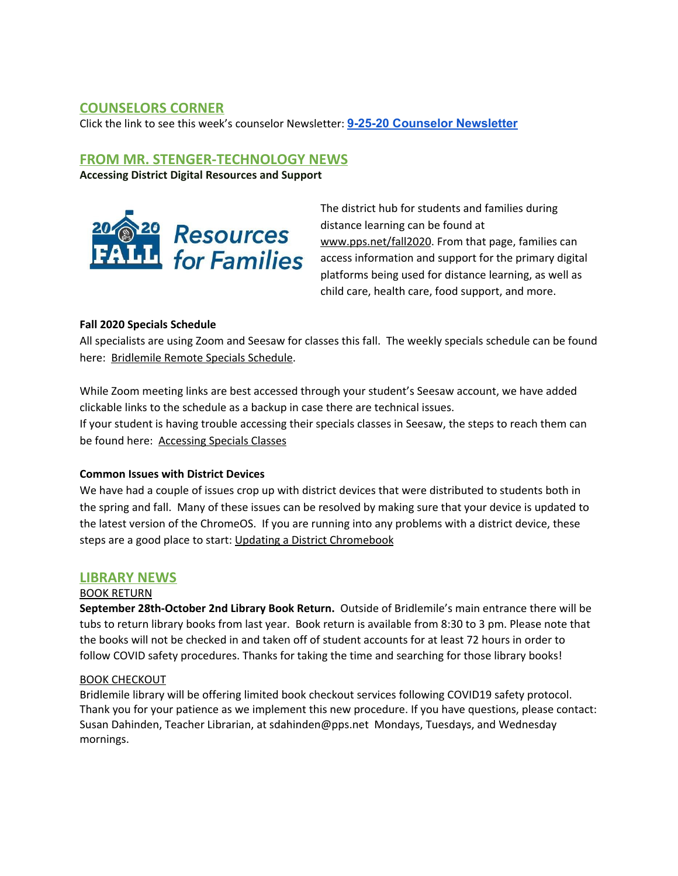# **COUNSELORS CORNER**

Click the link to see this week's counselor Newsletter: **9-25-20 Counselor [Newsletter](https://docs.google.com/document/d/1n5IQLQqVRRIBiQJTjKWJrPkiyABXjr0FdD3bxasB1ko/edit?usp=sharing)**

# **FROM MR. STENGER-TECHNOLOGY NEWS**

**Accessing District Digital Resources and Support**



The district hub for students and families during distance learning can be found at [www.pps.net/fall2020](http://www.pps.net/fall2020). From that page, families can access information and support for the primary digital platforms being used for distance learning, as well as child care, health care, food support, and more.

## **Fall 2020 Specials Schedule**

All specialists are using Zoom and Seesaw for classes this fall. The weekly specials schedule can be found here: [Bridlemile](https://docs.google.com/presentation/u/0/d/1UpxJmJgHC2S7KyxMdvI9Bt4agZp4N3qqbH-Yk6qvPD0/edit) Remote Specials Schedule.

While Zoom meeting links are best accessed through your student's Seesaw account, we have added clickable links to the schedule as a backup in case there are technical issues. If your student is having trouble accessing their specials classes in Seesaw, the steps to reach them can be found here: [Accessing](https://docs.google.com/presentation/u/0/d/1QqvQH5Xm7Sux5AjzWLkiq7Kt_gxhKoYQ3tH7t95vJQk/edit) Specials Classes

## **Common Issues with District Devices**

We have had a couple of issues crop up with district devices that were distributed to students both in the spring and fall. Many of these issues can be resolved by making sure that your device is updated to the latest version of the ChromeOS. If you are running into any problems with a district device, these steps are a good place to start: Updating a District [Chromebook](https://docs.google.com/document/d/1-XrznKLtkIYGYiFqzRECej-_Arzs0vIDfr5faAbrG6g/preview)

# **LIBRARY NEWS**

## BOOK RETURN

**September 28th-October 2nd Library Book Return.** Outside of Bridlemile's main entrance there will be tubs to return library books from last year. Book return is available from 8:30 to 3 pm. Please note that the books will not be checked in and taken off of student accounts for at least 72 hours in order to follow COVID safety procedures. Thanks for taking the time and searching for those library books!

## BOOK CHECKOUT

Bridlemile library will be offering limited book checkout services following COVID19 safety protocol. Thank you for your patience as we implement this new procedure. If you have questions, please contact: Susan Dahinden, Teacher Librarian, at sdahinden@pps.net Mondays, Tuesdays, and Wednesday mornings.